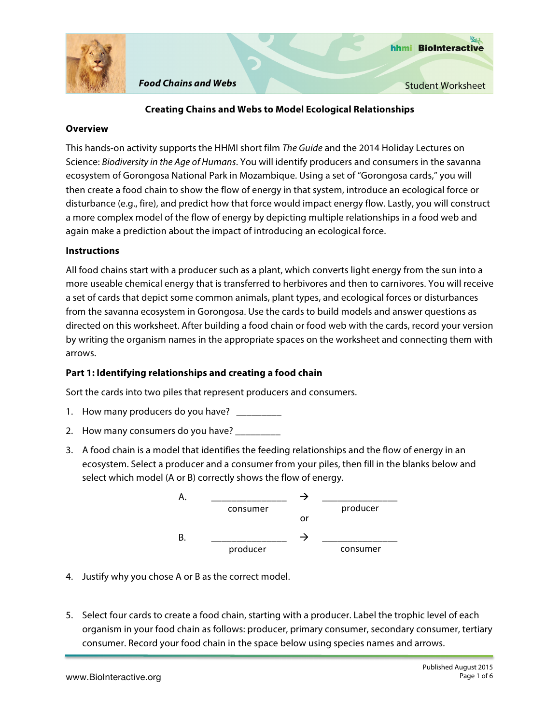

# **Creating Chains and Webs to Model Ecological Relationships**

### **Overview**

This hands-on activity supports the HHMI short film *The Guide* and the 2014 Holiday Lectures on Science: *Biodiversity in the Age of Humans*. You will identify producers and consumers in the savanna ecosystem of Gorongosa National Park in Mozambique. Using a set of "Gorongosa cards," you will then create a food chain to show the flow of energy in that system, introduce an ecological force or disturbance (e.g., fire), and predict how that force would impact energy flow. Lastly, you will construct a more complex model of the flow of energy by depicting multiple relationships in a food web and again make a prediction about the impact of introducing an ecological force.

# **Instructions**

All food chains start with a producer such as a plant, which converts light energy from the sun into a more useable chemical energy that is transferred to herbivores and then to carnivores. You will receive a set of cards that depict some common animals, plant types, and ecological forces or disturbances from the savanna ecosystem in Gorongosa. Use the cards to build models and answer questions as directed on this worksheet. After building a food chain or food web with the cards, record your version by writing the organism names in the appropriate spaces on the worksheet and connecting them with arrows.

# **Part 1: Identifying relationships and creating a food chain**

Sort the cards into two piles that represent producers and consumers.

- 1. How many producers do you have? \_
- 2. How many consumers do you have?
- 3. A food chain is a model that identifies the feeding relationships and the flow of energy in an ecosystem. Select a producer and a consumer from your piles, then fill in the blanks below and select which model (A or B) correctly shows the flow of energy.



- 4. Justify why you chose A or B as the correct model.
- 5. Select four cards to create a food chain, starting with a producer. Label the trophic level of each organism in your food chain as follows: producer, primary consumer, secondary consumer, tertiary consumer. Record your food chain in the space below using species names and arrows.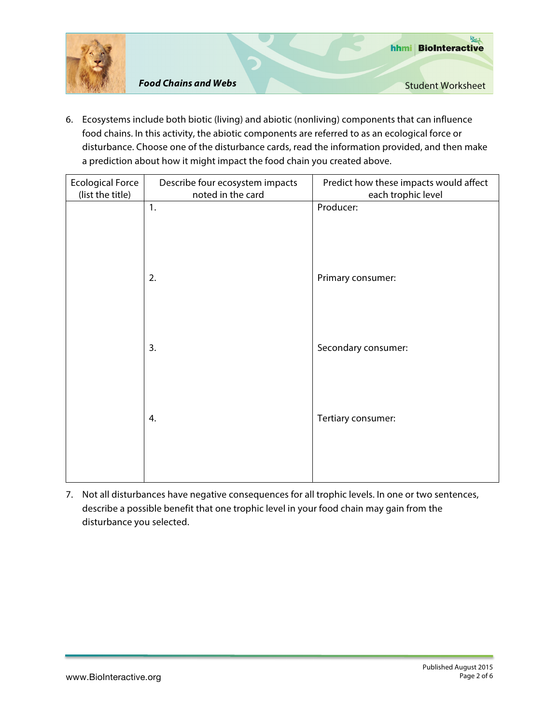

6. Ecosystems include both biotic (living) and abiotic (nonliving) components that can influence food chains. In this activity, the abiotic components are referred to as an ecological force or disturbance. Choose one of the disturbance cards, read the information provided, and then make a prediction about how it might impact the food chain you created above.

| <b>Ecological Force</b><br>(list the title) | Describe four ecosystem impacts<br>noted in the card | Predict how these impacts would affect<br>each trophic level |
|---------------------------------------------|------------------------------------------------------|--------------------------------------------------------------|
|                                             | 1.                                                   | Producer:                                                    |
|                                             |                                                      |                                                              |
|                                             |                                                      |                                                              |
|                                             | 2.                                                   | Primary consumer:                                            |
|                                             |                                                      |                                                              |
|                                             |                                                      |                                                              |
|                                             | 3.                                                   | Secondary consumer:                                          |
|                                             |                                                      |                                                              |
|                                             |                                                      |                                                              |
|                                             |                                                      |                                                              |
|                                             | 4.                                                   | Tertiary consumer:                                           |
|                                             |                                                      |                                                              |
|                                             |                                                      |                                                              |

7. Not all disturbances have negative consequences for all trophic levels. In one or two sentences, describe a possible benefit that one trophic level in your food chain may gain from the disturbance you selected.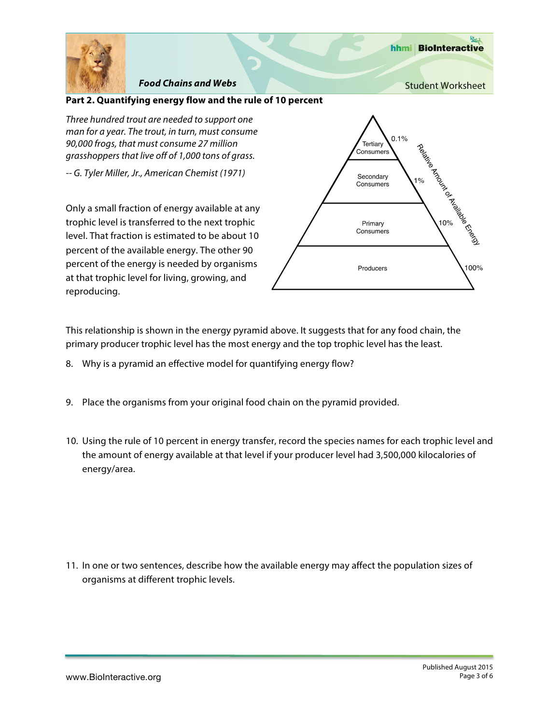

hhmi BioInteractive

### **Part 2. Quantifying energy flow and the rule of 10 percent**

*Three hundred trout are needed to support one man for a year. The trout, in turn, must consume 90,000 frogs, that must consume 27 million grasshoppers that live off of 1,000 tons of grass.*

*-- G. Tyler Miller, Jr., American Chemist (1971)*

Only a small fraction of energy available at any trophic level is transferred to the next trophic level. That fraction is estimated to be about 10 percent of the available energy. The other 90 percent of the energy is needed by organisms at that trophic level for living, growing, and reproducing.



This relationship is shown in the energy pyramid above. It suggests that for any food chain, the primary producer trophic level has the most energy and the top trophic level has the least.

- 8. Why is a pyramid an effective model for quantifying energy flow?
- 9. Place the organisms from your original food chain on the pyramid provided.
- 10. Using the rule of 10 percent in energy transfer, record the species names for each trophic level and the amount of energy available at that level if your producer level had 3,500,000 kilocalories of energy/area.

11. In one or two sentences, describe how the available energy may affect the population sizes of organisms at different trophic levels.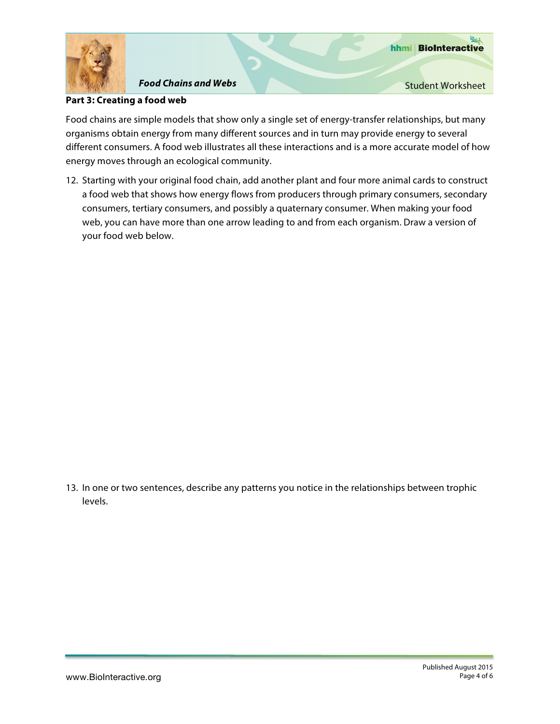

### **Part 3: Creating a food web**

Food chains are simple models that show only a single set of energy-transfer relationships, but many organisms obtain energy from many different sources and in turn may provide energy to several different consumers. A food web illustrates all these interactions and is a more accurate model of how energy moves through an ecological community.

12. Starting with your original food chain, add another plant and four more animal cards to construct a food web that shows how energy flows from producers through primary consumers, secondary consumers, tertiary consumers, and possibly a quaternary consumer. When making your food web, you can have more than one arrow leading to and from each organism. Draw a version of your food web below.

13. In one or two sentences, describe any patterns you notice in the relationships between trophic levels.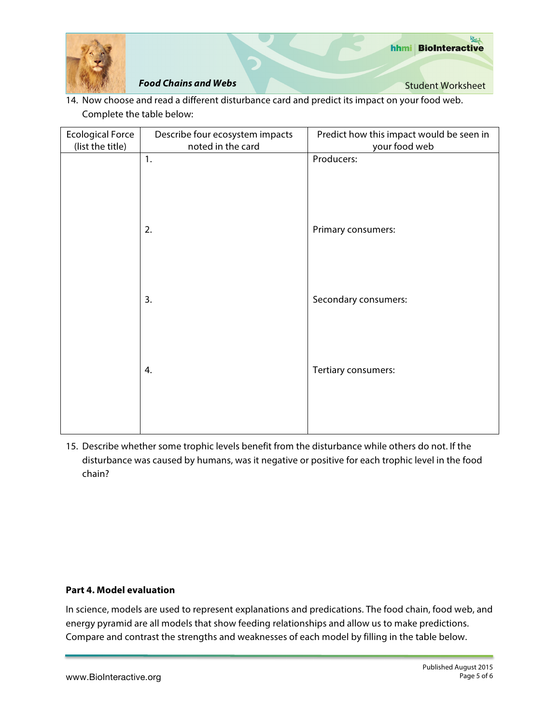

14. Now choose and read a different disturbance card and predict its impact on your food web. Complete the table below:

| <b>Ecological Force</b><br>(list the title) | Describe four ecosystem impacts<br>noted in the card | Predict how this impact would be seen in<br>your food web |
|---------------------------------------------|------------------------------------------------------|-----------------------------------------------------------|
|                                             | 1.                                                   | Producers:                                                |
|                                             |                                                      |                                                           |
|                                             |                                                      |                                                           |
|                                             | 2.                                                   | Primary consumers:                                        |
|                                             |                                                      |                                                           |
|                                             | 3.                                                   | Secondary consumers:                                      |
|                                             |                                                      |                                                           |
|                                             |                                                      |                                                           |
|                                             | 4.                                                   | Tertiary consumers:                                       |
|                                             |                                                      |                                                           |
|                                             |                                                      |                                                           |

15. Describe whether some trophic levels benefit from the disturbance while others do not. If the disturbance was caused by humans, was it negative or positive for each trophic level in the food chain?

### **Part 4. Model evaluation**

In science, models are used to represent explanations and predications. The food chain, food web, and energy pyramid are all models that show feeding relationships and allow us to make predictions. Compare and contrast the strengths and weaknesses of each model by filling in the table below.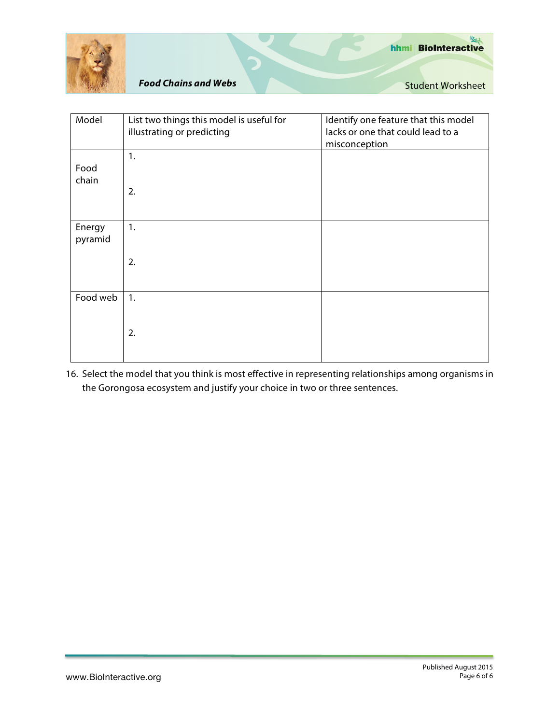

| Model             | List two things this model is useful for<br>illustrating or predicting | Identify one feature that this model<br>lacks or one that could lead to a<br>misconception |
|-------------------|------------------------------------------------------------------------|--------------------------------------------------------------------------------------------|
| Food<br>chain     | 1.<br>2.                                                               |                                                                                            |
| Energy<br>pyramid | 1.                                                                     |                                                                                            |
|                   | 2.                                                                     |                                                                                            |
| Food web          | 1.                                                                     |                                                                                            |
|                   | 2.                                                                     |                                                                                            |

16. Select the model that you think is most effective in representing relationships among organisms in the Gorongosa ecosystem and justify your choice in two or three sentences.